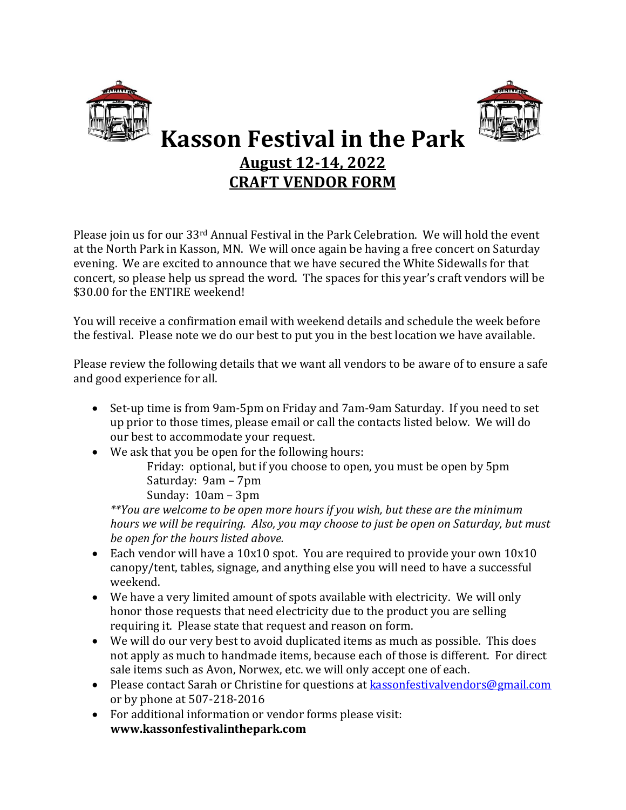



## **Kasson Festival in the Park August 12-14, 2022 CRAFT VENDOR FORM**

Please join us for our 33rd Annual Festival in the Park Celebration. We will hold the event at the North Park in Kasson, MN. We will once again be having a free concert on Saturday evening. We are excited to announce that we have secured the White Sidewalls for that concert, so please help us spread the word. The spaces for this year's craft vendors will be \$30.00 for the ENTIRE weekend!

You will receive a confirmation email with weekend details and schedule the week before the festival. Please note we do our best to put you in the best location we have available.

Please review the following details that we want all vendors to be aware of to ensure a safe and good experience for all.

- Set-up time is from 9am-5pm on Friday and 7am-9am Saturday. If you need to set up prior to those times, please email or call the contacts listed below. We will do our best to accommodate your request.
- We ask that you be open for the following hours:

Friday: optional, but if you choose to open, you must be open by 5pm Saturday: 9am – 7pm

Sunday: 10am – 3pm

*\*\*You are welcome to be open more hours if you wish, but these are the minimum hours we will be requiring. Also, you may choose to just be open on Saturday, but must be open for the hours listed above.* 

- Each vendor will have a  $10x10$  spot. You are required to provide your own  $10x10$ canopy/tent, tables, signage, and anything else you will need to have a successful weekend.
- We have a very limited amount of spots available with electricity. We will only honor those requests that need electricity due to the product you are selling requiring it. Please state that request and reason on form.
- We will do our very best to avoid duplicated items as much as possible. This does not apply as much to handmade items, because each of those is different. For direct sale items such as Avon, Norwex, etc. we will only accept one of each.
- Please contact Sarah or Christine for questions a[t kassonfestivalvendors@gmail.com](mailto:kassonfestivalvendors@gmail.com) or by phone at 507-218-2016
- For additional information or vendor forms please visit: **www.kassonfestivalinthepark.com**